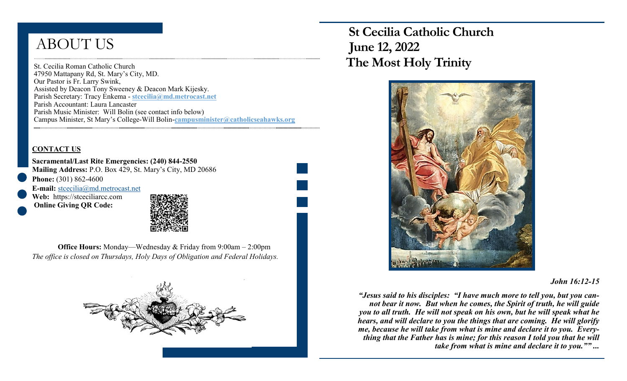# ABOUT US

St. Cecilia Roman Catholic Church 47950 Mattapany Rd, St. Mary's City, MD. Our Pastor is Fr. Larry Swink, Assisted by Deacon Tony Sweeney & Deacon Mark Kijesky. Parish Secretary: Tracy Enkema - **stcecilia@md.metrocast.net**  Parish Accountant: Laura Lancaster Parish Music Minister: Will Bolin (see contact info below) Campus Minister, St Mary's College-Will Bolin-**campusminister@catholicseahawks.org** 

### **CONTACT US**

**Sacramental/Last Rite Emergencies: (240) 844-2550 Mailing Address:** P.O. Box 429, St. Mary's City, MD 20686 **Phone:** (301) 862-4600

**E-mail:** [stcecilia@md.metrocast.net](mailto:stcecilia@md.metrocast.net) **Web:** https://stceciliarcc.com **Online Giving QR Code:**



**Office Hours:** Monday—Wednesday & Friday from 9:00am – 2:00pm *The office is closed on Thursdays, Holy Days of Obligation and Federal Holidays.*



 **St Cecilia Catholic Church June 12, 2022 The Most Holy Trinity** 



#### *John 16:12-15*

*"Jesus said to his disciples: "I have much more to tell you, but you cannot bear it now. But when he comes, the Spirit of truth, he will guide you to all truth. He will not speak on his own, but he will speak what he hears, and will declare to you the things that are coming. He will glorify me, because he will take from what is mine and declare it to you. Everything that the Father has is mine; for this reason I told you that he will take from what is mine and declare it to you."" ...*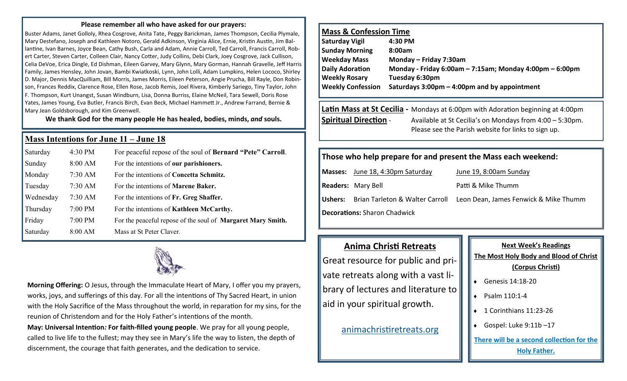#### **Please remember all who have asked for our prayers:**

Buster Adams, Janet Golloly, Rhea Cosgrove, Anita Tate, Peggy Barickman, James Thompson, Cecilia Plymale, Mary Destefano, Joseph and Kathleen Notoro, Gerald Adkinson, Virginia Alice, Ernie, Kristin Austin, Jim Ballantine, Ivan Barnes, Joyce Bean, Cathy Bush, Carla and Adam, Annie Carroll, Ted Carroll, Francis Carroll, Robert Carter, Steven Carter, Colleen Clair, Nancy Cotter, Judy Collins, Debi Clark, Joey Cosgrove, Jack Cullison, Celia DeVoe, Erica Dingle, Ed Dishman, Eileen Garvey, Mary Glynn, Mary Gorman, Hannah Gravelle, Jeff Harris Family, James Hensley, John Jovan, Bambi Kwiatkoski, Lynn, John Lolli, Adam Lumpkins, Helen Lococo, Shirley D. Major, Dennis MacQuilliam, Bill Morris, James Morris, Eileen Peterson, Angie Prucha, Bill Rayle, Don Robinson, Frances Reddix, Clarence Rose, Ellen Rose, Jacob Remis, Joel Rivera, Kimberly Sariego, Tiny Taylor, John F. Thompson, Kurt Unangst, Susan Windburn, Lisa, Donna Burriss, Elaine McNeil, Tara Sewell, Doris Rose Yates, James Young, Eva Butler, Francis Birch, Evan Beck, Michael Hammett Jr., Andrew Farrand, Bernie & Mary Jean Goldsborough, and Kim Greenwell.

**We thank God for the many people He has healed, bodies, minds,** *and* **souls.**

#### **Mass Intentions for June 11 – June 18**

| Saturday  | 4:30 PM   | For peaceful repose of the soul of <b>Bernard "Pete" Carroll</b> . |
|-----------|-----------|--------------------------------------------------------------------|
| Sunday    | 8:00 AM   | For the intentions of our parishioners.                            |
| Monday    | $7:30$ AM | For the intentions of Concetta Schmitz.                            |
| Tuesday   | $7:30$ AM | For the intentions of <b>Marene Baker.</b>                         |
| Wednesday | $7:30$ AM | For the intentions of Fr. Greg Shaffer.                            |
| Thursday  | $7:00$ PM | For the intentions of <b>Kathleen McCarthy.</b>                    |
| Friday    | $7:00$ PM | For the peaceful repose of the soul of <b>Margaret Mary Smith.</b> |
| Saturday  | 8:00 AM   | Mass at St Peter Claver.                                           |



**Morning Offering:** O Jesus, through the Immaculate Heart of Mary, I offer you my prayers, works, joys, and sufferings of this day. For all the intentions of Thy Sacred Heart, in union with the Holy Sacrifice of the Mass throughout the world, in reparation for my sins, for the reunion of Christendom and for the Holy Father's intentions of the month. **May: Universal Intention***:* **For faith-filled young people**. We pray for all young people,

called to live life to the fullest; may they see in Mary's life the way to listen, the depth of discernment, the courage that faith generates, and the dedication to service.

## **Mass & Confession Time**

| Saturday Vigil           | 4:30 PM                                                        |
|--------------------------|----------------------------------------------------------------|
| <b>Sunday Morning</b>    | 8:00am                                                         |
| <b>Weekday Mass</b>      | Monday - Friday 7:30am                                         |
| <b>Daily Adoration</b>   | Monday - Friday 6:00am $-$ 7:15am; Monday 4:00pm $-$ 6:00pm    |
| <b>Weekly Rosary</b>     | Tuesday 6:30pm                                                 |
| <b>Weekly Confession</b> | Saturdays $3:00 \text{pm} - 4:00 \text{pm}$ and by appointment |
|                          |                                                                |

## **Latin Mass at St Cecilia -** Mondays at 6:00pm with Adoration beginning at 4:00pm **Spiritual Direction** - Available at St Cecilia's on Mondays from 4:00 – 5:30pm. Please see the Parish website for links to sign up.

## **Those who help prepare for and present the Mass each weekend:**

**Masses:** June 18, 4:30pm Saturday June 19, 8:00am Sunday **Readers:** Mary Bell **Patti & Mike Thumm** 

**Ushers:** Brian Tarleton & Walter Carroll Leon Dean, James Fenwick & Mike Thumm

**Decorations:** Sharon Chadwick

# **Anima Christi Retreats**

Great resource for public and private retreats along with a vast library of lectures and literature to aid in your spiritual growth.

[animachristiretreats.org](https://www.animachristiretreats.org/) 

# **Next Week's Readings The Most Holy Body and Blood of Christ (Corpus Christi)**  $\bullet$  Genesis 14:18-20  $\bullet$  Psalm 110:1-4 ◆ 1 Corinthians 11:23-26 Gospel: Luke 9:11b –17

**There will be a second collection for the Holy Father.**